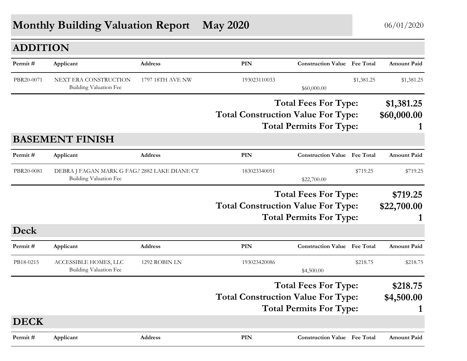## **Monthly Building Valuation Report May 2020** 06/01/2020

| <b>ADDITION</b> |                                                                               |                  |                                           |                                     |            |                           |
|-----------------|-------------------------------------------------------------------------------|------------------|-------------------------------------------|-------------------------------------|------------|---------------------------|
| Permit#         | Applicant                                                                     | <b>Address</b>   | <b>PIN</b>                                | <b>Construction Value</b> Fee Total |            | <b>Amount Paid</b>        |
| PBR20-0071      | NEXT ERA CONSTRUCTION<br>Building Valuation Fee                               | 1797 18TH AVE NW | 193023110033                              | \$60,000.00                         | \$1,381.25 | \$1,381.25                |
|                 |                                                                               |                  | <b>Total Construction Value For Type:</b> | <b>Total Fees For Type:</b>         |            | \$1,381.25<br>\$60,000.00 |
|                 |                                                                               |                  |                                           | <b>Total Permits For Type:</b>      |            |                           |
|                 | <b>BASEMENT FINISH</b>                                                        |                  |                                           |                                     |            |                           |
| Permit#         | Applicant                                                                     | <b>Address</b>   | PIN                                       | <b>Construction Value</b> Fee Total |            | <b>Amount Paid</b>        |
| PBR20-0081      | DEBRA J FAGAN MARK G FAGA 2882 LAKE DIANE CT<br><b>Building Valuation Fee</b> |                  | 183023340051                              | \$22,700.00                         | \$719.25   | \$719.25                  |
|                 |                                                                               |                  |                                           | <b>Total Fees For Type:</b>         |            | \$719.25                  |
|                 |                                                                               |                  | <b>Total Construction Value For Type:</b> |                                     |            | \$22,700.00               |
|                 |                                                                               |                  |                                           | <b>Total Permits For Type:</b>      |            |                           |
| Deck            |                                                                               |                  |                                           |                                     |            |                           |
| Permit#         | Applicant                                                                     | Address          | PIN                                       | <b>Construction Value Fee Total</b> |            | <b>Amount Paid</b>        |
| PB18-0215       | ACCESSIBLE HOMES, LLC<br>Building Valuation Fee                               | 1292 ROBIN LN    | 193023420086                              | \$4,500.00                          | \$218.75   | \$218.75                  |
|                 |                                                                               |                  | <b>Total Construction Value For Type:</b> | <b>Total Fees For Type:</b>         |            | \$218.75<br>\$4,500.00    |
| <b>DECK</b>     |                                                                               |                  |                                           | <b>Total Permits For Type:</b>      |            | 1                         |
| Permit#         | Applicant                                                                     | <b>Address</b>   | PIN                                       | <b>Construction Value</b> Fee Total |            | Amount Paid               |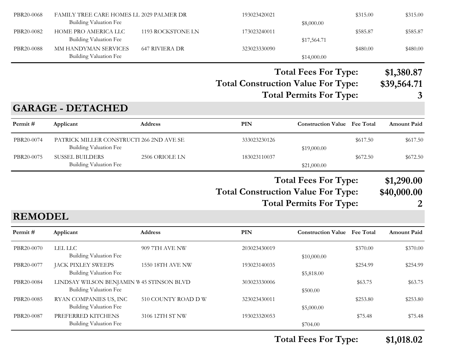| PBR20-0068     | FAMILY TREE CARE HOMES LL 2029 PALMER DR<br><b>Building Valuation Fee</b> |                       | 193023420021                              | \$8,000.00                                                    | \$315.00 | \$315.00                       |
|----------------|---------------------------------------------------------------------------|-----------------------|-------------------------------------------|---------------------------------------------------------------|----------|--------------------------------|
| PBR20-0082     | HOME PRO AMERICA LLC<br><b>Building Valuation Fee</b>                     | 1193 ROCKSTONE LN     | 173023240011                              | \$17,564.71                                                   | \$585.87 | \$585.87                       |
| PBR20-0088     | MM HANDYMAN SERVICES<br><b>Building Valuation Fee</b>                     | <b>647 RIVIERA DR</b> | 323023330090                              | \$14,000.00                                                   | \$480.00 | \$480.00                       |
|                |                                                                           |                       | <b>Total Construction Value For Type:</b> | <b>Total Fees For Type:</b><br><b>Total Permits For Type:</b> |          | \$1,380.87<br>\$39,564.71<br>3 |
|                | <b>GARAGE - DETACHED</b>                                                  |                       |                                           |                                                               |          |                                |
| Permit#        | Applicant                                                                 | Address               | <b>PIN</b>                                | <b>Construction Value</b> Fee Total                           |          | <b>Amount Paid</b>             |
| PBR20-0074     | PATRICK MILLER CONSTRUCTI 266 2ND AVE SE<br><b>Building Valuation Fee</b> |                       | 333023230126                              | \$19,000.00                                                   | \$617.50 | \$617.50                       |
| PBR20-0075     | <b>SUSSEL BUILDERS</b><br><b>Building Valuation Fee</b>                   | 2506 ORIOLE LN        | 183023110037                              | \$21,000.00                                                   | \$672.50 | \$672.50                       |
|                |                                                                           |                       | <b>Total Construction Value For Type:</b> | <b>Total Fees For Type:</b><br><b>Total Permits For Type:</b> |          | \$1,290.00<br>\$40,000.00<br>2 |
| <b>REMODEL</b> |                                                                           |                       |                                           |                                                               |          |                                |
| Permit#        | Applicant                                                                 | Address               | PIN                                       | <b>Construction Value Fee Total</b>                           |          | <b>Amount Paid</b>             |
| PBR20-0070     | <b>LEL LLC</b><br><b>Building Valuation Fee</b>                           | 909 7TH AVE NW        | 203023430019                              | \$10,000.00                                                   | \$370.00 | \$370.00                       |
| PBR20-0077     | JACK PIXLEY SWEEPS<br>Building Valuation Fee                              | 1550 18TH AVE NW      | 193023140035                              | \$5,818.00                                                    | \$254.99 | \$254.99                       |
| PBR20-0084     | LINDSAY WILSON BENJAMIN W 45 STINSON BLVD<br>Building Valuation Fee       |                       | 303023330006                              | \$500.00                                                      | \$63.75  | \$63.75                        |
| PBR20-0085     | RYAN COMPANIES US, INC<br><b>Building Valuation Fee</b>                   | 510 COUNTY ROAD D W   | 323023430011                              | \$5,000.00                                                    | \$253.80 | \$253.80                       |
| PBR20-0087     | PREFERRED KITCHENS<br>Building Valuation Fee                              | 3106 12TH ST NW       | 193023320053                              | \$704.00                                                      | \$75.48  | \$75.48                        |

**Total Fees For Type: \$1,018.02**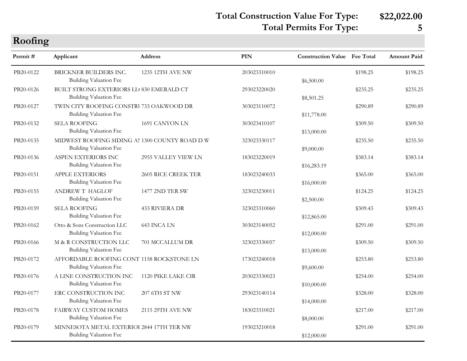### **Total Construction Value For Type: \$22,022.00 Total Permits For Type: 5**

| Roofing   |                                                                                |                            |              |                                     |          |                    |
|-----------|--------------------------------------------------------------------------------|----------------------------|--------------|-------------------------------------|----------|--------------------|
| Permit#   | Applicant                                                                      | <b>Address</b>             | <b>PIN</b>   | <b>Construction Value Fee Total</b> |          | <b>Amount Paid</b> |
| PB20-0122 | BRICKNER BUILDERS INC.<br><b>Building Valuation Fee</b>                        | 1235 12TH AVE NW           | 203023310010 | \$6,500.00                          | \$198.25 | \$198.25           |
| PB20-0126 | BUILT STRONG EXTERIORS LL 830 EMERALD CT<br><b>Building Valuation Fee</b>      |                            | 293023220020 | \$8,501.25                          | \$235.25 | \$235.25           |
| PB20-0127 | TWIN CITY ROOFING CONSTRU 733 OAKWOOD DR<br><b>Building Valuation Fee</b>      |                            | 303023110072 | \$11,778.00                         | \$290.89 | \$290.89           |
| PB20-0132 | <b>SELA ROOFING</b><br><b>Building Valuation Fee</b>                           | 1691 CANYON LN             | 303023410107 | \$13,000.00                         | \$309.50 | \$309.50           |
| PB20-0135 | MIDWEST ROOFING SIDING AL 1300 COUNTY ROAD DW<br><b>Building Valuation Fee</b> |                            | 323023330117 | \$9,000.00                          | \$235.50 | \$235.50           |
| PB20-0136 | ASPEN EXTERIORS INC<br><b>Building Valuation Fee</b>                           | 2955 VALLEY VIEW LN        | 183023220019 | \$16,283.19                         | \$383.14 | \$383.14           |
| PB20-0151 | APPLE EXTERIORS<br><b>Building Valuation Fee</b>                               | <b>2605 RICE CREEK TER</b> | 183023240033 | \$16,000.00                         | \$365.00 | \$365.00           |
| PB20-0155 | ANDREWT HAGLOF<br><b>Building Valuation Fee</b>                                | 1477 2ND TER SW            | 323023230011 | \$2,500.00                          | \$124.25 | \$124.25           |
| PB20-0159 | <b>SELA ROOFING</b><br><b>Building Valuation Fee</b>                           | <b>433 RIVIERA DR</b>      | 323023310060 | \$12,865.00                         | \$309.43 | \$309.43           |
| PB20-0162 | Otto & Sons Construction LLC<br><b>Building Valuation Fee</b>                  | 643 INCA LN                | 303023140052 | \$12,000.00                         | \$291.00 | \$291.00           |
| PB20-0166 | M & R CONSTRUCTION LLC<br><b>Building Valuation Fee</b>                        | 701 MCCALLUM DR            | 323023330057 | \$13,000.00                         | \$309.50 | \$309.50           |
| PB20-0172 | AFFORDABLE ROOFING CONT 1158 ROCKSTONE LN<br><b>Building Valuation Fee</b>     |                            | 173023240018 | \$9,600.00                          | \$253.80 | \$253.80           |
| PB20-0176 | A LINE CONSTRUCTION INC<br><b>Building Valuation Fee</b>                       | 1120 PIKE LAKE CIR         | 203023330023 | \$10,000.00                         | \$254.00 | \$254.00           |
| PB20-0177 | ERC CONSTRUCTION INC<br><b>Building Valuation Fee</b>                          | 207 6TH ST NW              | 293023140114 | \$14,000.00                         | \$328.00 | \$328.00           |
| PB20-0178 | <b>FAIRWAY CUSTOM HOMES</b><br><b>Building Valuation Fee</b>                   | 2115 29TH AVE NW           | 183023310021 | \$8,000.00                          | \$217.00 | \$217.00           |
| PB20-0179 | MINNESOTA METAL EXTERIOI 2844 17TH TER NW<br><b>Building Valuation Fee</b>     |                            | 193023210018 | \$12,000.00                         | \$291.00 | \$291.00           |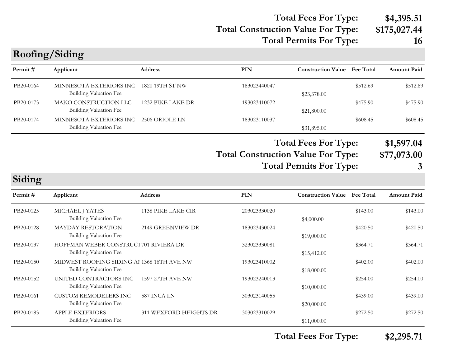### **Total Construction Value For Type: \$175,027.44 Total Fees For Type: \$4,395.51 Total Permits For Type: 16**

| Permit#   | Applicant                                                                   | Address                | <b>PIN</b>                                | <b>Construction Value</b> Fee Total                           |          | Amount Paid                    |
|-----------|-----------------------------------------------------------------------------|------------------------|-------------------------------------------|---------------------------------------------------------------|----------|--------------------------------|
| PB20-0164 | MINNESOTA EXTERIORS INC<br><b>Building Valuation Fee</b>                    | 1820 19TH ST NW        | 183023440047                              | \$23,378.00                                                   | \$512.69 | \$512.69                       |
| PB20-0173 | MAKO CONSTRUCTION LLC<br>Building Valuation Fee                             | 1232 PIKE LAKE DR      | 193023410072                              | \$21,800.00                                                   | \$475.90 | \$475.90                       |
| PB20-0174 | MINNESOTA EXTERIORS INC<br><b>Building Valuation Fee</b>                    | 2506 ORIOLE LN         | 183023110037                              | \$31,895.00                                                   | \$608.45 | \$608.45                       |
|           |                                                                             |                        | <b>Total Construction Value For Type:</b> | <b>Total Fees For Type:</b><br><b>Total Permits For Type:</b> |          | \$1,597.04<br>\$77,073.00<br>3 |
| Siding    |                                                                             |                        |                                           |                                                               |          |                                |
| Permit#   | Applicant                                                                   | Address                | <b>PIN</b>                                | <b>Construction Value</b> Fee Total                           |          | Amount Paid                    |
| PB20-0125 | MICHAEL J YATES<br><b>Building Valuation Fee</b>                            | 1138 PIKE LAKE CIR     | 203023330020                              | \$4,000.00                                                    | \$143.00 | \$143.00                       |
| PB20-0128 | <b>MAYDAY RESTORATION</b><br>Building Valuation Fee                         | 2149 GREENVIEW DR      | 183023430024                              | \$19,000.00                                                   | \$420.50 | \$420.50                       |
| PB20-0137 | HOFFMAN WEBER CONSTRUCT 701 RIVIERA DR<br>Building Valuation Fee            |                        | 323023330081                              | \$15,412.00                                                   | \$364.71 | \$364.71                       |
| PB20-0150 | MIDWEST ROOFING SIDING AI 1368 16TH AVE NW<br><b>Building Valuation Fee</b> |                        | 193023410002                              | \$18,000.00                                                   | \$402.00 | \$402.00                       |
| PB20-0152 | UNITED CONTRACTORS INC<br><b>Building Valuation Fee</b>                     | 1597 27TH AVE NW       | 193023240013                              | \$10,000.00                                                   | \$254.00 | \$254.00                       |
| PB20-0161 | <b>CUSTOM REMODELERS INC</b><br>Building Valuation Fee                      | 587 INCA LN            | 303023140055                              | \$20,000.00                                                   | \$439.00 | \$439.00                       |
| PB20-0183 | <b>APPLE EXTERIORS</b><br><b>Building Valuation Fee</b>                     | 311 WEXFORD HEIGHTS DR | 303023310029                              | \$11,000.00                                                   | \$272.50 | \$272.50                       |

**Roofing/Siding**

**Total Fees For Type: \$2,295.71**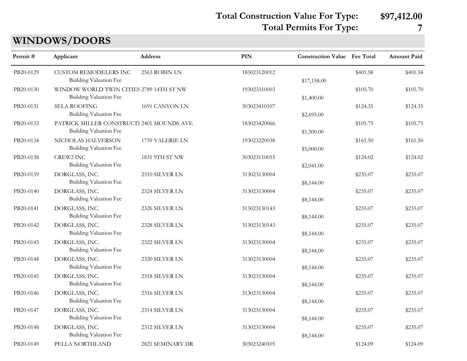**Total Construction Value For Type: \$97,412.00**

**Total Permits For Type: 7**

| <b>WINDOWS/DOORS</b> |  |
|----------------------|--|
|----------------------|--|

| Permit#   | Applicant                                                                  | <b>Address</b>   | PIN          | <b>Construction Value</b> Fee Total |          | Amount Paid |
|-----------|----------------------------------------------------------------------------|------------------|--------------|-------------------------------------|----------|-------------|
| PB20-0129 | <b>CUSTOM REMODELERS INC</b><br><b>Building Valuation Fee</b>              | 2563 ROBIN LN    | 183023120012 | \$17,158.00                         | \$401.58 | \$401.58    |
| PB20-0130 | WINDOW WORLD TWIN CITIES 2789 14TH ST NW<br><b>Building Valuation Fee</b>  |                  | 193023310003 | \$1,400.00                          | \$105.70 | \$105.70    |
| PB20-0131 | <b>SELA ROOFING</b><br><b>Building Valuation Fee</b>                       | 1691 CANYON LN   | 303023410107 | \$2,695.00                          | \$124.35 | \$124.35    |
| PB20-0133 | PATRICK MILLER CONSTRUCTI 2401 MOUNDS AVE<br><b>Building Valuation Fee</b> |                  | 183023420066 | \$1,500.00                          | \$105.75 | \$105.75    |
| PB20-0134 | NICHOLAS HALVERSON<br><b>Building Valuation Fee</b>                        | 1759 VALERIE LN  | 193023220038 | \$5,000.00                          | \$161.50 | \$161.50    |
| PB20-0138 | CREW2 INC<br><b>Building Valuation Fee</b>                                 | 1831 9TH ST NW   | 303023110055 | \$2,041.00                          | \$124.02 | \$124.02    |
| PB20-0139 | DORGLASS, INC.<br><b>Building Valuation Fee</b>                            | 2310 SILVER LN   | 313023130004 | \$8,144.00                          | \$235.07 | \$235.07    |
| PB20-0140 | DORGLASS, INC.<br><b>Building Valuation Fee</b>                            | 2324 SILVER LN   | 313023130004 | \$8,144.00                          | \$235.07 | \$235.07    |
| PB20-0141 | DORGLASS, INC.<br>Building Valuation Fee                                   | 2326 SILVER LN   | 313023130143 | \$8,144.00                          | \$235.07 | \$235.07    |
| PB20-0142 | DORGLASS, INC.<br>Building Valuation Fee                                   | 2328 SILVER LN   | 313023130143 | \$8,144.00                          | \$235.07 | \$235.07    |
| PB20-0143 | DORGLASS, INC.<br>Building Valuation Fee                                   | 2322 SILVER LN   | 313023130004 | \$8,144.00                          | \$235.07 | \$235.07    |
| PB20-0144 | DORGLASS, INC.<br>Building Valuation Fee                                   | 2320 SILVER LN   | 313023130004 | \$8,144.00                          | \$235.07 | \$235.07    |
| PB20-0145 | DORGLASS, INC.<br><b>Building Valuation Fee</b>                            | 2318 SILVER LN   | 313023130004 | \$8,144.00                          | \$235.07 | \$235.07    |
| PB20-0146 | DORGLASS, INC.<br><b>Building Valuation Fee</b>                            | 2316 SILVER LN   | 313023130004 | \$8,144.00                          | \$235.07 | \$235.07    |
| PB20-0147 | DORGLASS, INC.<br><b>Building Valuation Fee</b>                            | 2314 SILVER LN   | 313023130004 | \$8,144.00                          | \$235.07 | \$235.07    |
| PB20-0148 | DORGLASS, INC.<br>Building Valuation Fee                                   | 2312 SILVER LN   | 313023130004 | \$8,144.00                          | \$235.07 | \$235.07    |
| PB20-0149 | PELLA NORTHLAND                                                            | 2821 SEMINARY DR | 303023240105 |                                     | \$124.09 | \$124.09    |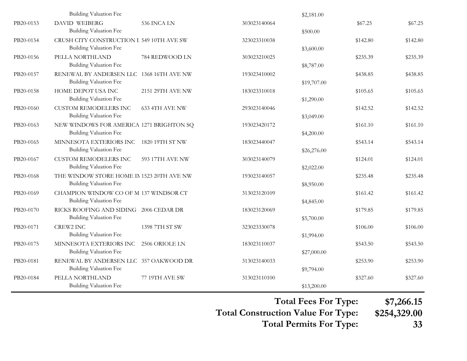|           | <b>Building Valuation Fee</b>                                              |                  |              | \$2,181.00                |          |          |
|-----------|----------------------------------------------------------------------------|------------------|--------------|---------------------------|----------|----------|
| PB20-0153 | <b>DAVID WEIBERG</b><br><b>Building Valuation Fee</b>                      | 536 INCA LN      | 303023140064 | \$500.00                  | \$67.25  | \$67.25  |
| PB20-0154 | CRUSH CITY CONSTRUCTION I 549 10TH AVE SW<br><b>Building Valuation Fee</b> |                  | 323023310038 | \$3,600.00                | \$142.80 | \$142.80 |
| PB20-0156 | PELLA NORTHLAND<br><b>Building Valuation Fee</b>                           | 784 REDWOOD LN   | 303023210025 | \$8,787.00                | \$235.39 | \$235.39 |
| PB20-0157 | RENEWAL BY ANDERSEN LLC 1368 16TH AVE NW<br><b>Building Valuation Fee</b>  |                  | 193023410002 | \$19,707.00               | \$438.85 | \$438.85 |
| PB20-0158 | HOME DEPOT USA INC<br><b>Building Valuation Fee</b>                        | 2151 29TH AVE NW | 183023310018 | \$1,290.00                | \$105.65 | \$105.65 |
| PB20-0160 | <b>CUSTOM REMODELERS INC</b><br><b>Building Valuation Fee</b>              | 633 4TH AVE NW   | 293023140046 | \$3,049.00                | \$142.52 | \$142.52 |
| PB20-0163 | NEW WINDOWS FOR AMERICA 1271 BRIGHTON SQ<br><b>Building Valuation Fee</b>  |                  | 193023420172 | \$4,200.00                | \$161.10 | \$161.10 |
| PB20-0165 | MINNESOTA EXTERIORS INC<br><b>Building Valuation Fee</b>                   | 1820 19TH ST NW  | 183023440047 | \$26,276.00               | \$543.14 | \$543.14 |
| PB20-0167 | <b>CUSTOM REMODELERS INC</b><br><b>Building Valuation Fee</b>              | 593 17TH AVE NW  | 303023140079 | \$2,022.00                | \$124.01 | \$124.01 |
| PB20-0168 | THE WINDOW STORE HOME IN 1523 20TH AVE NW<br>Building Valuation Fee        |                  | 193023140057 | \$8,950.00                | \$235.48 | \$235.48 |
| PB20-0169 | CHAMPION WINDOW CO OF M 137 WINDSOR CT<br>Building Valuation Fee           |                  | 313023120109 | \$4,845.00                | \$161.42 | \$161.42 |
| PB20-0170 | RICKS ROOFING AND SIDING 2006 CEDAR DR<br>Building Valuation Fee           |                  | 183023120069 | \$5,700.00                | \$179.85 | \$179.85 |
| PB20-0171 | <b>CREW2 INC</b><br>Building Valuation Fee                                 | 1398 7TH ST SW   | 323023330078 | \$1,994.00                | \$106.00 | \$106.00 |
| PB20-0175 | MINNESOTA EXTERIORS INC<br>Building Valuation Fee                          | 2506 ORIOLE LN   | 183023110037 | \$27,000.00               | \$543.50 | \$543.50 |
| PB20-0181 | RENEWAL BY ANDERSEN LLC 357 OAKWOOD DR                                     |                  | 313023140033 |                           | \$253.90 | \$253.90 |
| PB20-0184 | <b>Building Valuation Fee</b><br>PELLA NORTHLAND<br>Building Valuation Fee | 77 19TH AVE SW   | 313023110100 | \$9,794.00<br>\$13,200.00 | \$327.60 | \$327.60 |

**Total Fees For Type: \$7,266.15**

**Total Construction Value For Type: \$254,329.00**

**Total Permits For Type: 33**